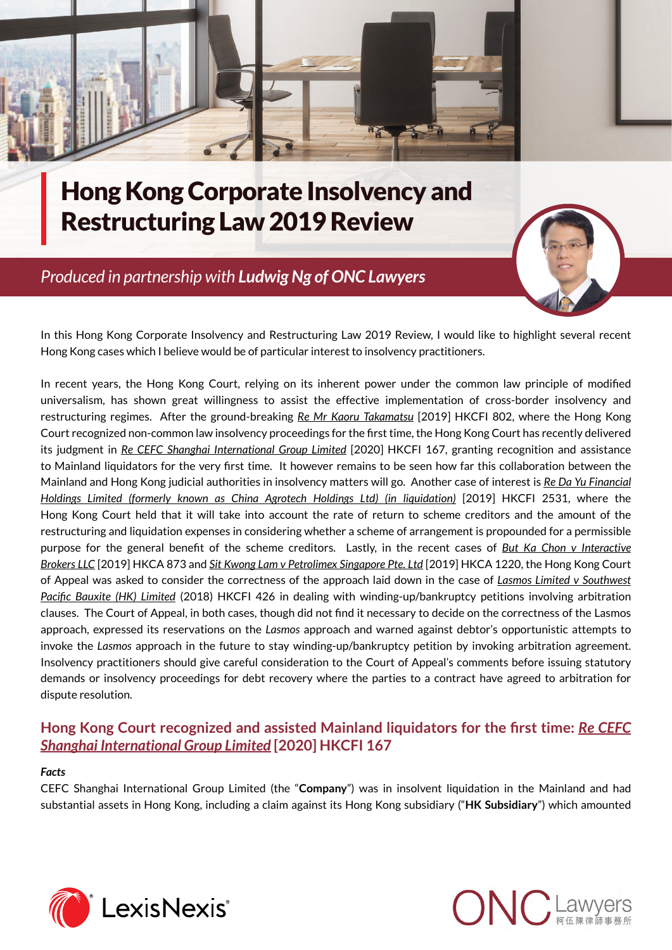

# Hong Kong Corporate Insolvency and Restructuring Law 2019 Review

## *Produced in partnership with Ludwig N[g of ONC Lawyers](http://www.onc.hk/en_US/ludwig-ng/)*



In this Hong Kong Corporate Insolvency and Restructuring Law 2019 Review, I would like to highlight several recent Hong Kong cases which I believe would be of particular interest to insolvency practitioners.

In recent years, the Hong Kong Court, relying on its inherent power under the common law principle of modified universalism, has shown great willingness to assist the effective implementation of cross-border insolvency and restructuring regimes. After the ground-breaking *Re Mr Kaoru Takamatsu* [2019] HKCFI 802, where the Hong Kong Court recognized non-common law insolvency proceedings for the first time, the Hong Kong Court has recently delivered its judgment in *Re CEFC Shanghai International Group Limited* [2020] HKCFI 167, granting recognition and assistance to Mainland liquidators for the very first time. It however remains to be seen how far this collaboration between the Mainland and Hong Kong judicial authorities in insolvency matters will go. Another case of interest is *Re Da Yu Financial Holdings Limited (formerly known as China Agrotech Holdings Ltd) (in liquidation)* [2019] HKCFI 2531, where the Hong Kong Court held that it will take into account the rate of return to scheme creditors and the amount of the restructuring and liquidation expenses in considering whether a scheme of arrangement is propounded for a permissible purpose for the general benefit of the scheme creditors. Lastly, in the recent cases of *But Ka Chon v Interactive Brokers LLC* [2019] HKCA 873 and *Sit Kwong Lam v Petrolimex Singapore Pte. Ltd* [2019] HKCA 1220, the Hong Kong Court of Appeal was asked to consider the correctness of the approach laid down in the case of *Lasmos Limited v Southwest Pacific Bauxite (HK) Limited* (2018) HKCFI 426 in dealing with winding-up/bankruptcy petitions involving arbitration clauses. The Court of Appeal, in both cases, though did not find it necessary to decide on the correctness of the Lasmos approach, expressed its reservations on the *Lasmos* approach and warned against debtor's opportunistic attempts to invoke the *Lasmos* approach in the future to stay winding-up/bankruptcy petition by invoking arbitration agreement. Insolvency practitioners should give careful consideration to the Court of Appeal's comments before issuing statutory demands or insolvency proceedings for debt recovery where the parties to a contract have agreed to arbitration for dispute resolution.

## **Hong Kong Court recognized and assisted Mainland liquidators for the first time:** *Re CEFC Shanghai International Group Limited* **[2020] HKCFI 167**

## *Facts*

CEFC Shanghai International Group Limited (the "**Company**") was in insolvent liquidation in the Mainland and had substantial assets in Hong Kong, including a claim against its Hong Kong subsidiary ("**HK Subsidiary**") which amounted



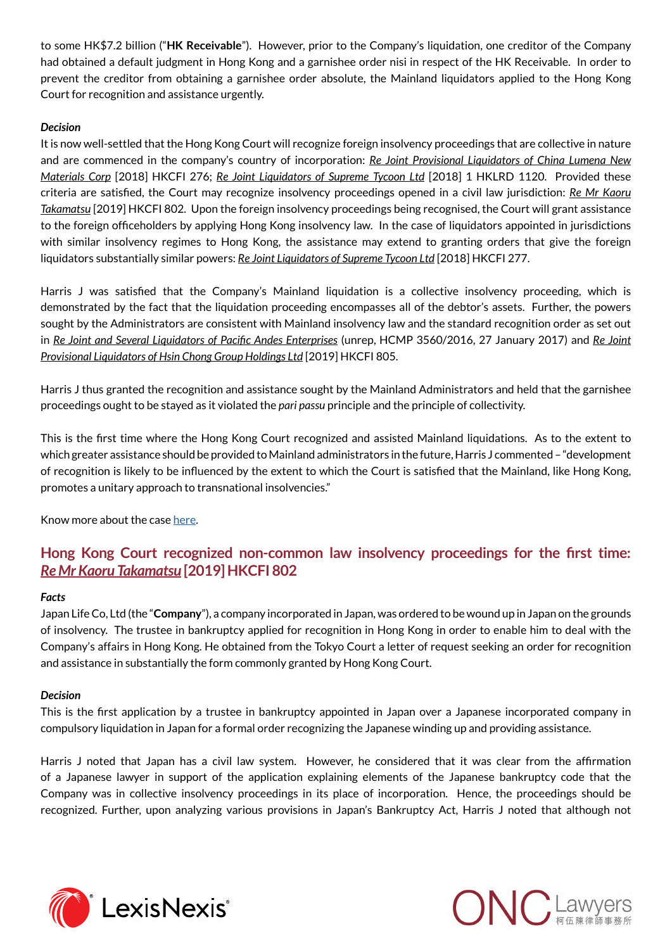to some HK\$7.2 billion ("**HK Receivable**"). However, prior to the Company's liquidation, one creditor of the Company had obtained a default judgment in Hong Kong and a garnishee order nisi in respect of the HK Receivable. In order to prevent the creditor from obtaining a garnishee order absolute, the Mainland liquidators applied to the Hong Kong Court for recognition and assistance urgently.

## *Decision*

It is now well-settled that the Hong Kong Court will recognize foreign insolvency proceedings that are collective in nature and are commenced in the company's country of incorporation: *Re Joint Provisional Liquidators of China Lumena New Materials Corp* [2018] HKCFI 276; *Re Joint Liquidators of Supreme Tycoon Ltd* [2018] 1 HKLRD 1120. Provided these criteria are satisfied, the Court may recognize insolvency proceedings opened in a civil law jurisdiction: *Re Mr Kaoru Takamatsu* [2019] HKCFI 802. Upon the foreign insolvency proceedings being recognised, the Court will grant assistance to the foreign officeholders by applying Hong Kong insolvency law. In the case of liquidators appointed in jurisdictions with similar insolvency regimes to Hong Kong, the assistance may extend to granting orders that give the foreign liquidators substantially similar powers: *Re Joint Liquidators of Supreme Tycoon Ltd* [2018] HKCFI 277.

Harris J was satisfied that the Company's Mainland liquidation is a collective insolvency proceeding, which is demonstrated by the fact that the liquidation proceeding encompasses all of the debtor's assets. Further, the powers sought by the Administrators are consistent with Mainland insolvency law and the standard recognition order as set out in *Re Joint and Several Liquidators of Pacific Andes Enterprises* (unrep, HCMP 3560/2016, 27 January 2017) and *Re Joint Provisional Liquidators of Hsin Chong Group Holdings Ltd* [2019] HKCFI 805.

Harris J thus granted the recognition and assistance sought by the Mainland Administrators and held that the garnishee proceedings ought to be stayed as it violated the *pari passu* principle and the principle of collectivity.

This is the first time where the Hong Kong Court recognized and assisted Mainland liquidations. As to the extent to which greater assistance should be provided to Mainland administrators in the future, Harris J commented – "development of recognition is likely to be influenced by the extent to which the Court is satisfied that the Mainland, like Hong Kong, promotes a unitary approach to transnational insolvencies."

Know more about the case [here.](http://www.onc.hk/wp-content/uploads/2020/01/2001_ONC_Corporate_Disputes_and_Insolvency_Quarterly.pdf)

## **Hong Kong Court recognized non-common law insolvency proceedings for the first time:**  *Re Mr Kaoru Takamatsu* **[2019] HKCFI 802**

## *Facts*

Japan Life Co, Ltd (the "**Company**"), a company incorporated in Japan, was ordered to be wound up in Japan on the grounds of insolvency. The trustee in bankruptcy applied for recognition in Hong Kong in order to enable him to deal with the Company's affairs in Hong Kong. He obtained from the Tokyo Court a letter of request seeking an order for recognition and assistance in substantially the form commonly granted by Hong Kong Court.

## *Decision*

This is the first application by a trustee in bankruptcy appointed in Japan over a Japanese incorporated company in compulsory liquidation in Japan for a formal order recognizing the Japanese winding up and providing assistance.

Harris J noted that Japan has a civil law system. However, he considered that it was clear from the affirmation of a Japanese lawyer in support of the application explaining elements of the Japanese bankruptcy code that the Company was in collective insolvency proceedings in its place of incorporation. Hence, the proceedings should be recognized. Further, upon analyzing various provisions in Japan's Bankruptcy Act, Harris J noted that although not



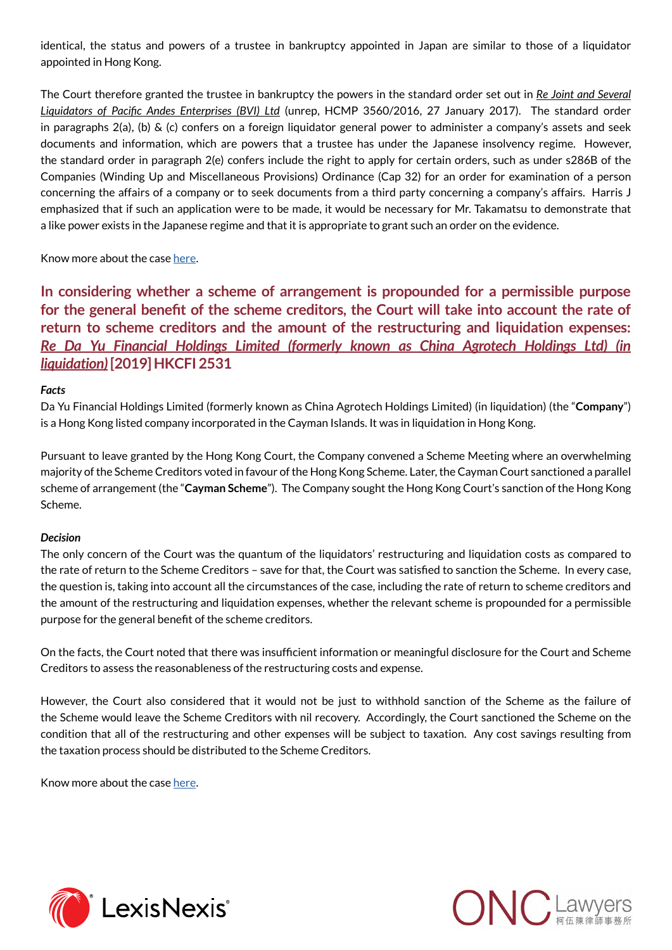identical, the status and powers of a trustee in bankruptcy appointed in Japan are similar to those of a liquidator appointed in Hong Kong.

The Court therefore granted the trustee in bankruptcy the powers in the standard order set out in *Re Joint and Several Liquidators of Pacific Andes Enterprises (BVI) Ltd* (unrep, HCMP 3560/2016, 27 January 2017). The standard order in paragraphs 2(a), (b) & (c) confers on a foreign liquidator general power to administer a company's assets and seek documents and information, which are powers that a trustee has under the Japanese insolvency regime. However, the standard order in paragraph 2(e) confers include the right to apply for certain orders, such as under s286B of the Companies (Winding Up and Miscellaneous Provisions) Ordinance (Cap 32) for an order for examination of a person concerning the affairs of a company or to seek documents from a third party concerning a company's affairs. Harris J emphasized that if such an application were to be made, it would be necessary for Mr. Takamatsu to demonstrate that a like power exists in the Japanese regime and that it is appropriate to grant such an order on the evidence.

Know more about the case [here.](http://www.onc.hk/en_US/onc-corporate-disputes-insolvency-quarterly-4/)

**In considering whether a scheme of arrangement is propounded for a permissible purpose for the general benefit of the scheme creditors, the Court will take into account the rate of return to scheme creditors and the amount of the restructuring and liquidation expenses:**  *Re Da Yu Financial Holdings Limited (formerly known as China Agrotech Holdings Ltd) (in liquidation)* **[2019] HKCFI 2531**

#### *Facts*

Da Yu Financial Holdings Limited (formerly known as China Agrotech Holdings Limited) (in liquidation) (the "**Company**") is a Hong Kong listed company incorporated in the Cayman Islands. It was in liquidation in Hong Kong.

Pursuant to leave granted by the Hong Kong Court, the Company convened a Scheme Meeting where an overwhelming majority of the Scheme Creditors voted in favour of the Hong Kong Scheme. Later, the Cayman Court sanctioned a parallel scheme of arrangement (the "**Cayman Scheme**"). The Company sought the Hong Kong Court's sanction of the Hong Kong Scheme.

#### *Decision*

The only concern of the Court was the quantum of the liquidators' restructuring and liquidation costs as compared to the rate of return to the Scheme Creditors – save for that, the Court was satisfied to sanction the Scheme. In every case, the question is, taking into account all the circumstances of the case, including the rate of return to scheme creditors and the amount of the restructuring and liquidation expenses, whether the relevant scheme is propounded for a permissible purpose for the general benefit of the scheme creditors.

On the facts, the Court noted that there was insufficient information or meaningful disclosure for the Court and Scheme Creditors to assess the reasonableness of the restructuring costs and expense.

However, the Court also considered that it would not be just to withhold sanction of the Scheme as the failure of the Scheme would leave the Scheme Creditors with nil recovery. Accordingly, the Court sanctioned the Scheme on the condition that all of the restructuring and other expenses will be subject to taxation. Any cost savings resulting from the taxation process should be distributed to the Scheme Creditors.

Know more about the case [here.](http://www.onc.hk/wp-content/uploads/2020/01/2001_ONC_Corporate_Disputes_and_Insolvency_Quarterly.pdf)



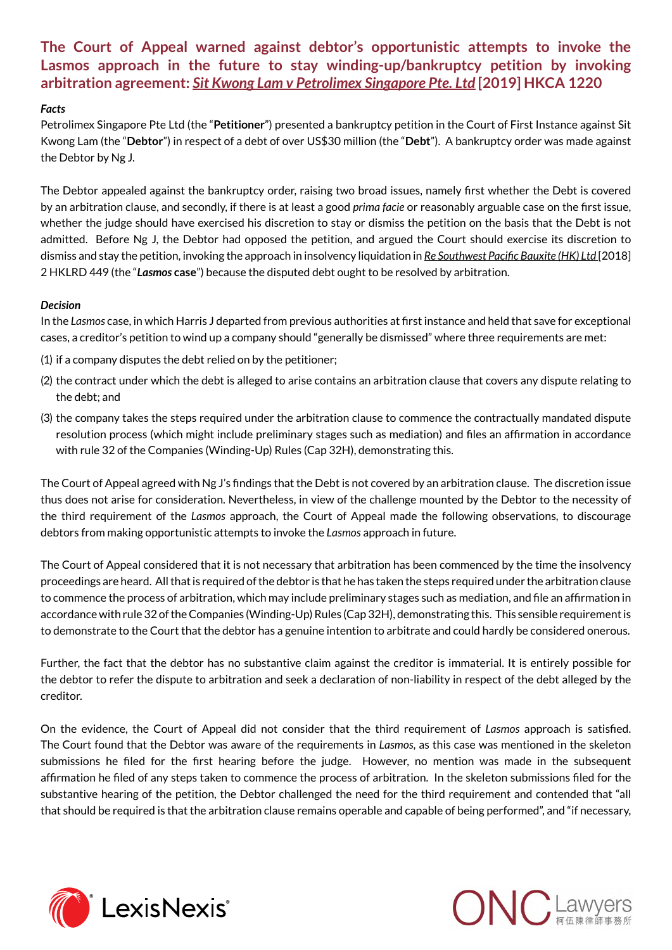## **The Court of Appeal warned against debtor's opportunistic attempts to invoke the Lasmos approach in the future to stay winding-up/bankruptcy petition by invoking arbitration agreement:** *Sit Kwong Lam v Petrolimex Singapore Pte. Ltd* **[2019] HKCA 1220**

### *Facts*

Petrolimex Singapore Pte Ltd (the "**Petitioner**") presented a bankruptcy petition in the Court of First Instance against Sit Kwong Lam (the "**Debtor**") in respect of a debt of over US\$30 million (the "**Debt**"). A bankruptcy order was made against the Debtor by Ng J.

The Debtor appealed against the bankruptcy order, raising two broad issues, namely first whether the Debt is covered by an arbitration clause, and secondly, if there is at least a good *prima facie* or reasonably arguable case on the first issue, whether the judge should have exercised his discretion to stay or dismiss the petition on the basis that the Debt is not admitted. Before Ng J, the Debtor had opposed the petition, and argued the Court should exercise its discretion to dismiss and stay the petition, invoking the approach in insolvency liquidation in *Re Southwest Pacific Bauxite (HK) Ltd* [2018] 2 HKLRD 449 (the "*Lasmos* **case**") because the disputed debt ought to be resolved by arbitration.

### *Decision*

In the *Lasmos* case, in which Harris J departed from previous authorities at first instance and held that save for exceptional cases, a creditor's petition to wind up a company should "generally be dismissed" where three requirements are met:

- (1) if a company disputes the debt relied on by the petitioner;
- (2) the contract under which the debt is alleged to arise contains an arbitration clause that covers any dispute relating to the debt; and
- (3) the company takes the steps required under the arbitration clause to commence the contractually mandated dispute resolution process (which might include preliminary stages such as mediation) and files an affirmation in accordance with rule 32 of the Companies (Winding-Up) Rules (Cap 32H), demonstrating this.

The Court of Appeal agreed with Ng J's findings that the Debt is not covered by an arbitration clause. The discretion issue thus does not arise for consideration. Nevertheless, in view of the challenge mounted by the Debtor to the necessity of the third requirement of the *Lasmos* approach, the Court of Appeal made the following observations, to discourage debtors from making opportunistic attempts to invoke the *Lasmos* approach in future.

The Court of Appeal considered that it is not necessary that arbitration has been commenced by the time the insolvency proceedings are heard. All that is required of the debtor is that he has taken the steps required under the arbitration clause to commence the process of arbitration, which may include preliminary stages such as mediation, and file an affirmation in accordance with rule 32 of the Companies (Winding-Up) Rules (Cap 32H), demonstrating this. This sensible requirement is to demonstrate to the Court that the debtor has a genuine intention to arbitrate and could hardly be considered onerous.

Further, the fact that the debtor has no substantive claim against the creditor is immaterial. It is entirely possible for the debtor to refer the dispute to arbitration and seek a declaration of non-liability in respect of the debt alleged by the creditor.

On the evidence, the Court of Appeal did not consider that the third requirement of *Lasmos* approach is satisfied. The Court found that the Debtor was aware of the requirements in *Lasmos*, as this case was mentioned in the skeleton submissions he filed for the first hearing before the judge. However, no mention was made in the subsequent affirmation he filed of any steps taken to commence the process of arbitration. In the skeleton submissions filed for the substantive hearing of the petition, the Debtor challenged the need for the third requirement and contended that "all that should be required is that the arbitration clause remains operable and capable of being performed", and "if necessary,



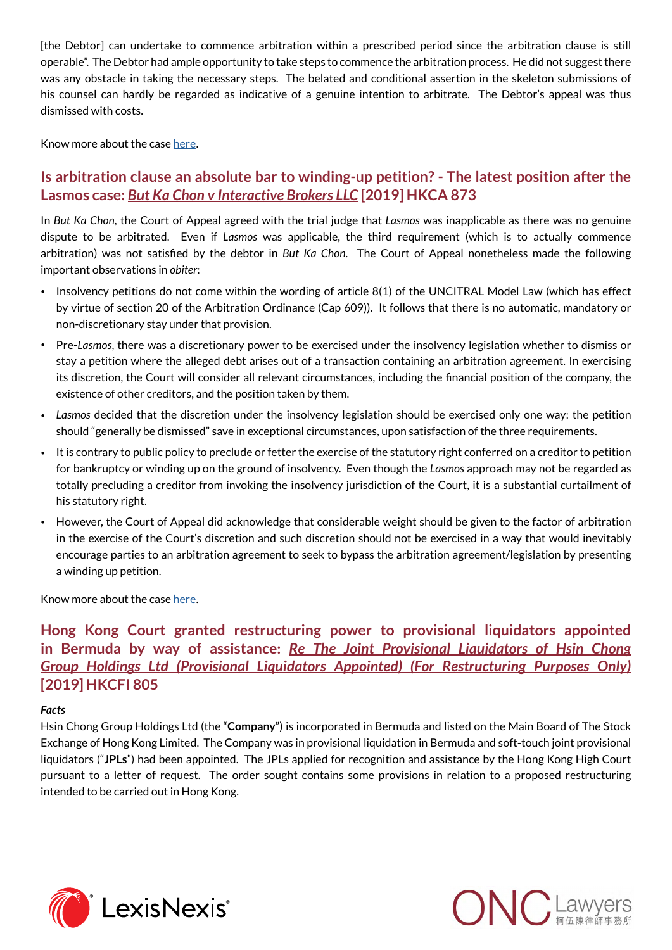[the Debtor] can undertake to commence arbitration within a prescribed period since the arbitration clause is still operable". The Debtor had ample opportunity to take steps to commence the arbitration process. He did not suggest there was any obstacle in taking the necessary steps. The belated and conditional assertion in the skeleton submissions of his counsel can hardly be regarded as indicative of a genuine intention to arbitrate. The Debtor's appeal was thus dismissed with costs.

Know more about the case [here.](http://www.onc.hk/wp-content/uploads/2020/01/2001_ONC_Corporate_Disputes_and_Insolvency_Quarterly.pdf)

## **Is arbitration clause an absolute bar to winding-up petition? - The latest position after the Lasmos case:** *But Ka Chon v Interactive Brokers LLC* **[2019] HKCA 873**

In *But Ka Chon*, the Court of Appeal agreed with the trial judge that *Lasmos* was inapplicable as there was no genuine dispute to be arbitrated. Even if *Lasmos* was applicable, the third requirement (which is to actually commence arbitration) was not satisfied by the debtor in *But Ka Chon*. The Court of Appeal nonetheless made the following important observations in *obiter*:

- Insolvency petitions do not come within the wording of article 8(1) of the UNCITRAL Model Law (which has effect by virtue of section 20 of the Arbitration Ordinance (Cap 609)). It follows that there is no automatic, mandatory or non-discretionary stay under that provision.
- Pre-*Lasmos*, there was a discretionary power to be exercised under the insolvency legislation whether to dismiss or stay a petition where the alleged debt arises out of a transaction containing an arbitration agreement. In exercising its discretion, the Court will consider all relevant circumstances, including the financial position of the company, the existence of other creditors, and the position taken by them.
- *Lasmos* decided that the discretion under the insolvency legislation should be exercised only one way: the petition should "generally be dismissed" save in exceptional circumstances, upon satisfaction of the three requirements.
- It is contrary to public policy to preclude or fetter the exercise of the statutory right conferred on a creditor to petition for bankruptcy or winding up on the ground of insolvency. Even though the *Lasmos* approach may not be regarded as totally precluding a creditor from invoking the insolvency jurisdiction of the Court, it is a substantial curtailment of his statutory right.
- However, the Court of Appeal did acknowledge that considerable weight should be given to the factor of arbitration in the exercise of the Court's discretion and such discretion should not be exercised in a way that would inevitably encourage parties to an arbitration agreement to seek to bypass the arbitration agreement/legislation by presenting a winding up petition.

Know more about the case [here.](http://www.onc.hk/en_US/arbitration-clause-absolute-bar-winding-petition-latest-position-lasmos-case/)

**Hong Kong Court granted restructuring power to provisional liquidators appointed in Bermuda by way of assistance:** *Re The Joint Provisional Liquidators of Hsin Chong Group Holdings Ltd (Provisional Liquidators Appointed) (For Restructuring Purposes Only)*  **[2019] HKCFI 805**

## *Facts*

Hsin Chong Group Holdings Ltd (the "**Company**") is incorporated in Bermuda and listed on the Main Board of The Stock Exchange of Hong Kong Limited. The Company was in provisional liquidation in Bermuda and soft-touch joint provisional liquidators ("**JPLs**") had been appointed. The JPLs applied for recognition and assistance by the Hong Kong High Court pursuant to a letter of request. The order sought contains some provisions in relation to a proposed restructuring intended to be carried out in Hong Kong.